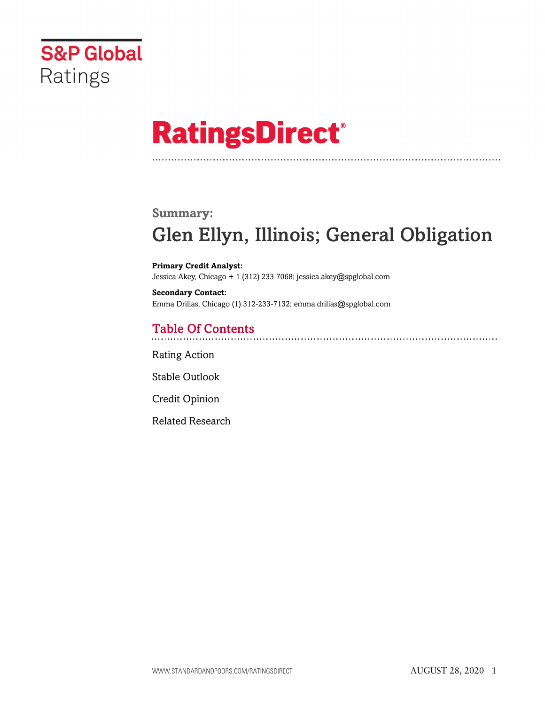

# **RatingsDirect®**

# **Summary:** Glen Ellyn, Illinois; General Obligation

**Primary Credit Analyst:** Jessica Akey, Chicago + 1 (312) 233 7068; jessica.akey@spglobal.com

**Secondary Contact:** Emma Drilias, Chicago (1) 312-233-7132; emma.drilias@spglobal.com

# Table Of Contents

[Rating Action](#page-1-0)

[Stable Outlook](#page-2-0)

[Credit Opinion](#page-2-1)

[Related Research](#page-5-0)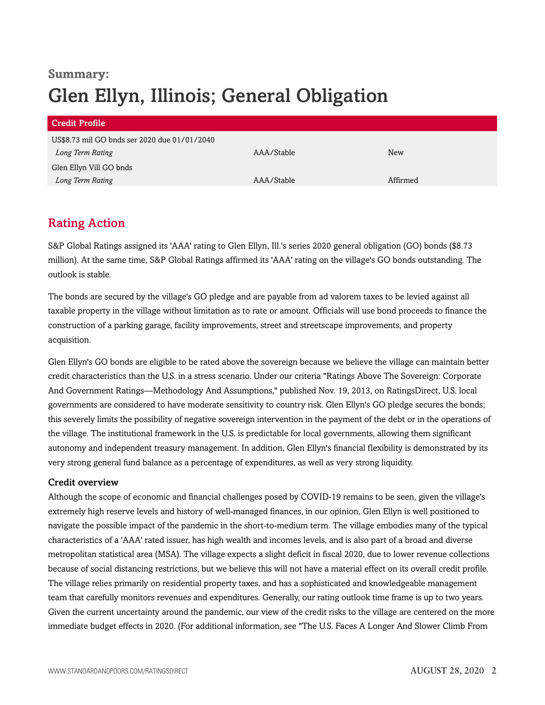# **Summary:** Glen Ellyn, Illinois; General Obligation

| AAA/Stable | <b>New</b> |
|------------|------------|
|            |            |
| AAA/Stable | Affirmed   |
|            |            |

# <span id="page-1-0"></span>Rating Action

S&P Global Ratings assigned its 'AAA' rating to Glen Ellyn, Ill.'s series 2020 general obligation (GO) bonds (\$8.73 million). At the same time, S&P Global Ratings affirmed its 'AAA' rating on the village's GO bonds outstanding. The outlook is stable.

The bonds are secured by the village's GO pledge and are payable from ad valorem taxes to be levied against all taxable property in the village without limitation as to rate or amount. Officials will use bond proceeds to finance the construction of a parking garage, facility improvements, street and streetscape improvements, and property acquisition.

Glen Ellyn's GO bonds are eligible to be rated above the sovereign because we believe the village can maintain better credit characteristics than the U.S. in a stress scenario. Under our criteria "Ratings Above The Sovereign: Corporate And Government Ratings—Methodology And Assumptions," published Nov. 19, 2013, on RatingsDirect, U.S. local governments are considered to have moderate sensitivity to country risk. Glen Ellyn's GO pledge secures the bonds; this severely limits the possibility of negative sovereign intervention in the payment of the debt or in the operations of the village. The institutional framework in the U.S. is predictable for local governments, allowing them significant autonomy and independent treasury management. In addition, Glen Ellyn's financial flexibility is demonstrated by its very strong general fund balance as a percentage of expenditures, as well as very strong liquidity.

# Credit overview

Although the scope of economic and financial challenges posed by COVID-19 remains to be seen, given the village's extremely high reserve levels and history of well-managed finances, in our opinion, Glen Ellyn is well positioned to navigate the possible impact of the pandemic in the short-to-medium term. The village embodies many of the typical characteristics of a 'AAA' rated issuer, has high wealth and incomes levels, and is also part of a broad and diverse metropolitan statistical area (MSA). The village expects a slight deficit in fiscal 2020, due to lower revenue collections because of social distancing restrictions, but we believe this will not have a material effect on its overall credit profile. The village relies primarily on residential property taxes, and has a sophisticated and knowledgeable management team that carefully monitors revenues and expenditures. Generally, our rating outlook time frame is up to two years. Given the current uncertainty around the pandemic, our view of the credit risks to the village are centered on the more immediate budget effects in 2020. (For additional information, see "The U.S. Faces A Longer And Slower Climb From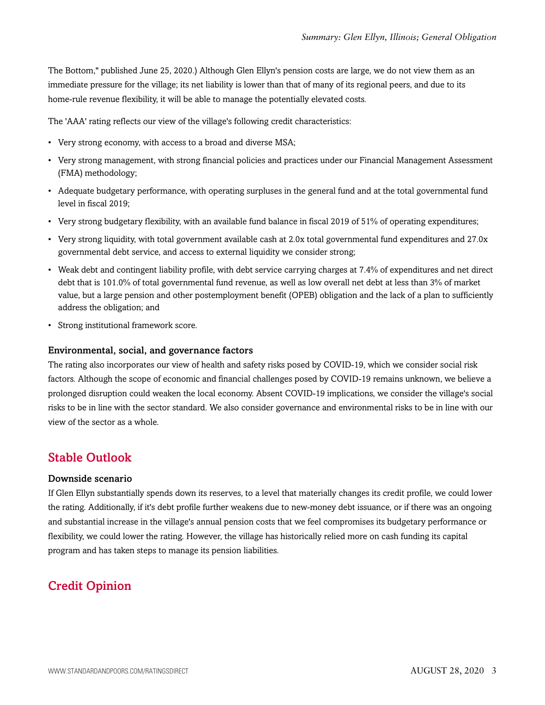The Bottom," published June 25, 2020.) Although Glen Ellyn's pension costs are large, we do not view them as an immediate pressure for the village; its net liability is lower than that of many of its regional peers, and due to its home-rule revenue flexibility, it will be able to manage the potentially elevated costs.

The 'AAA' rating reflects our view of the village's following credit characteristics:

- Very strong economy, with access to a broad and diverse MSA;
- Very strong management, with strong financial policies and practices under our Financial Management Assessment (FMA) methodology;
- Adequate budgetary performance, with operating surpluses in the general fund and at the total governmental fund level in fiscal 2019;
- Very strong budgetary flexibility, with an available fund balance in fiscal 2019 of 51% of operating expenditures;
- Very strong liquidity, with total government available cash at 2.0x total governmental fund expenditures and 27.0x governmental debt service, and access to external liquidity we consider strong;
- Weak debt and contingent liability profile, with debt service carrying charges at 7.4% of expenditures and net direct debt that is 101.0% of total governmental fund revenue, as well as low overall net debt at less than 3% of market value, but a large pension and other postemployment benefit (OPEB) obligation and the lack of a plan to sufficiently address the obligation; and
- Strong institutional framework score.

#### Environmental, social, and governance factors

The rating also incorporates our view of health and safety risks posed by COVID-19, which we consider social risk factors. Although the scope of economic and financial challenges posed by COVID-19 remains unknown, we believe a prolonged disruption could weaken the local economy. Absent COVID-19 implications, we consider the village's social risks to be in line with the sector standard. We also consider governance and environmental risks to be in line with our view of the sector as a whole.

# <span id="page-2-0"></span>Stable Outlook

#### Downside scenario

If Glen Ellyn substantially spends down its reserves, to a level that materially changes its credit profile, we could lower the rating. Additionally, if it's debt profile further weakens due to new-money debt issuance, or if there was an ongoing and substantial increase in the village's annual pension costs that we feel compromises its budgetary performance or flexibility, we could lower the rating. However, the village has historically relied more on cash funding its capital program and has taken steps to manage its pension liabilities.

# <span id="page-2-1"></span>Credit Opinion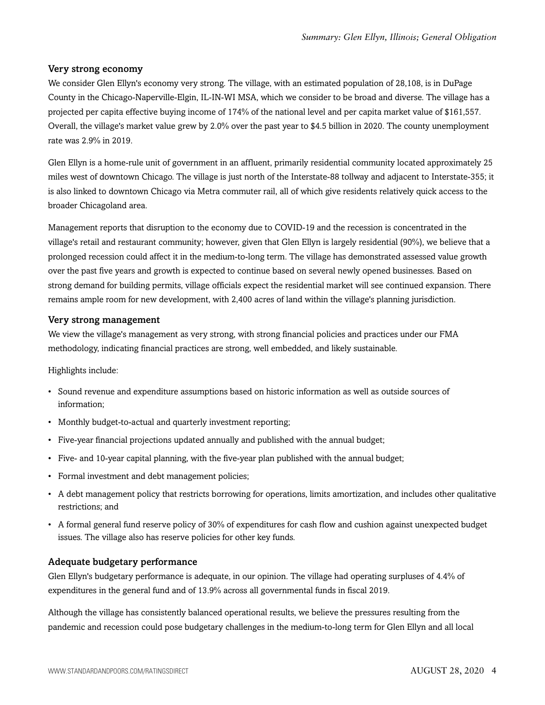## Very strong economy

We consider Glen Ellyn's economy very strong. The village, with an estimated population of 28,108, is in DuPage County in the Chicago-Naperville-Elgin, IL-IN-WI MSA, which we consider to be broad and diverse. The village has a projected per capita effective buying income of 174% of the national level and per capita market value of \$161,557. Overall, the village's market value grew by 2.0% over the past year to \$4.5 billion in 2020. The county unemployment rate was 2.9% in 2019.

Glen Ellyn is a home-rule unit of government in an affluent, primarily residential community located approximately 25 miles west of downtown Chicago. The village is just north of the Interstate-88 tollway and adjacent to Interstate-355; it is also linked to downtown Chicago via Metra commuter rail, all of which give residents relatively quick access to the broader Chicagoland area.

Management reports that disruption to the economy due to COVID-19 and the recession is concentrated in the village's retail and restaurant community; however, given that Glen Ellyn is largely residential (90%), we believe that a prolonged recession could affect it in the medium-to-long term. The village has demonstrated assessed value growth over the past five years and growth is expected to continue based on several newly opened businesses. Based on strong demand for building permits, village officials expect the residential market will see continued expansion. There remains ample room for new development, with 2,400 acres of land within the village's planning jurisdiction.

#### Very strong management

We view the village's management as very strong, with strong financial policies and practices under our FMA methodology, indicating financial practices are strong, well embedded, and likely sustainable.

Highlights include:

- Sound revenue and expenditure assumptions based on historic information as well as outside sources of information;
- Monthly budget-to-actual and quarterly investment reporting;
- Five-year financial projections updated annually and published with the annual budget;
- Five- and 10-year capital planning, with the five-year plan published with the annual budget;
- Formal investment and debt management policies;
- A debt management policy that restricts borrowing for operations, limits amortization, and includes other qualitative restrictions; and
- A formal general fund reserve policy of 30% of expenditures for cash flow and cushion against unexpected budget issues. The village also has reserve policies for other key funds.

## Adequate budgetary performance

Glen Ellyn's budgetary performance is adequate, in our opinion. The village had operating surpluses of 4.4% of expenditures in the general fund and of 13.9% across all governmental funds in fiscal 2019.

Although the village has consistently balanced operational results, we believe the pressures resulting from the pandemic and recession could pose budgetary challenges in the medium-to-long term for Glen Ellyn and all local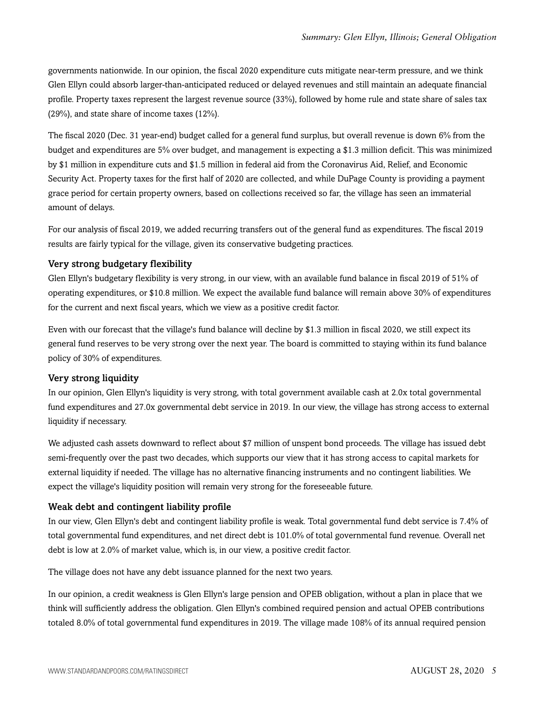governments nationwide. In our opinion, the fiscal 2020 expenditure cuts mitigate near-term pressure, and we think Glen Ellyn could absorb larger-than-anticipated reduced or delayed revenues and still maintain an adequate financial profile. Property taxes represent the largest revenue source (33%), followed by home rule and state share of sales tax (29%), and state share of income taxes (12%).

The fiscal 2020 (Dec. 31 year-end) budget called for a general fund surplus, but overall revenue is down 6% from the budget and expenditures are 5% over budget, and management is expecting a \$1.3 million deficit. This was minimized by \$1 million in expenditure cuts and \$1.5 million in federal aid from the Coronavirus Aid, Relief, and Economic Security Act. Property taxes for the first half of 2020 are collected, and while DuPage County is providing a payment grace period for certain property owners, based on collections received so far, the village has seen an immaterial amount of delays.

For our analysis of fiscal 2019, we added recurring transfers out of the general fund as expenditures. The fiscal 2019 results are fairly typical for the village, given its conservative budgeting practices.

## Very strong budgetary flexibility

Glen Ellyn's budgetary flexibility is very strong, in our view, with an available fund balance in fiscal 2019 of 51% of operating expenditures, or \$10.8 million. We expect the available fund balance will remain above 30% of expenditures for the current and next fiscal years, which we view as a positive credit factor.

Even with our forecast that the village's fund balance will decline by \$1.3 million in fiscal 2020, we still expect its general fund reserves to be very strong over the next year. The board is committed to staying within its fund balance policy of 30% of expenditures.

## Very strong liquidity

In our opinion, Glen Ellyn's liquidity is very strong, with total government available cash at 2.0x total governmental fund expenditures and 27.0x governmental debt service in 2019. In our view, the village has strong access to external liquidity if necessary.

We adjusted cash assets downward to reflect about \$7 million of unspent bond proceeds. The village has issued debt semi-frequently over the past two decades, which supports our view that it has strong access to capital markets for external liquidity if needed. The village has no alternative financing instruments and no contingent liabilities. We expect the village's liquidity position will remain very strong for the foreseeable future.

# Weak debt and contingent liability profile

In our view, Glen Ellyn's debt and contingent liability profile is weak. Total governmental fund debt service is 7.4% of total governmental fund expenditures, and net direct debt is 101.0% of total governmental fund revenue. Overall net debt is low at 2.0% of market value, which is, in our view, a positive credit factor.

The village does not have any debt issuance planned for the next two years.

In our opinion, a credit weakness is Glen Ellyn's large pension and OPEB obligation, without a plan in place that we think will sufficiently address the obligation. Glen Ellyn's combined required pension and actual OPEB contributions totaled 8.0% of total governmental fund expenditures in 2019. The village made 108% of its annual required pension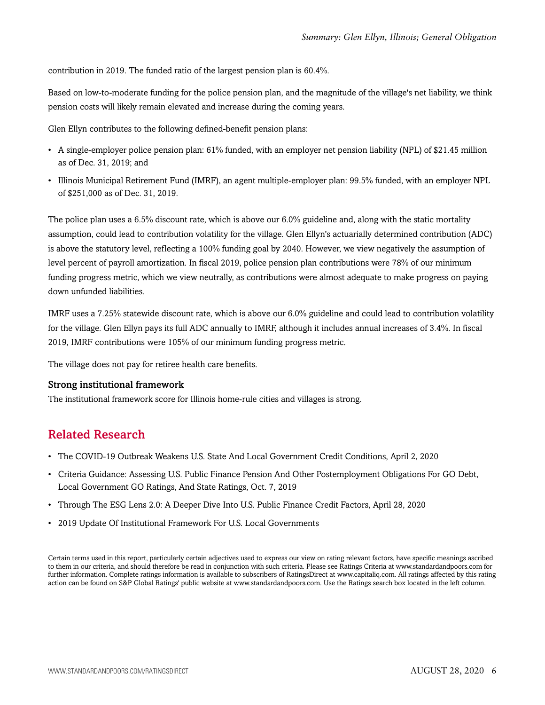contribution in 2019. The funded ratio of the largest pension plan is 60.4%.

Based on low-to-moderate funding for the police pension plan, and the magnitude of the village's net liability, we think pension costs will likely remain elevated and increase during the coming years.

Glen Ellyn contributes to the following defined-benefit pension plans:

- A single-employer police pension plan: 61% funded, with an employer net pension liability (NPL) of \$21.45 million as of Dec. 31, 2019; and
- Illinois Municipal Retirement Fund (IMRF), an agent multiple-employer plan: 99.5% funded, with an employer NPL of \$251,000 as of Dec. 31, 2019.

The police plan uses a 6.5% discount rate, which is above our 6.0% guideline and, along with the static mortality assumption, could lead to contribution volatility for the village. Glen Ellyn's actuarially determined contribution (ADC) is above the statutory level, reflecting a 100% funding goal by 2040. However, we view negatively the assumption of level percent of payroll amortization. In fiscal 2019, police pension plan contributions were 78% of our minimum funding progress metric, which we view neutrally, as contributions were almost adequate to make progress on paying down unfunded liabilities.

IMRF uses a 7.25% statewide discount rate, which is above our 6.0% guideline and could lead to contribution volatility for the village. Glen Ellyn pays its full ADC annually to IMRF, although it includes annual increases of 3.4%. In fiscal 2019, IMRF contributions were 105% of our minimum funding progress metric.

The village does not pay for retiree health care benefits.

#### Strong institutional framework

<span id="page-5-0"></span>The institutional framework score for Illinois home-rule cities and villages is strong.

# Related Research

- The COVID-19 Outbreak Weakens U.S. State And Local Government Credit Conditions, April 2, 2020
- Criteria Guidance: Assessing U.S. Public Finance Pension And Other Postemployment Obligations For GO Debt, Local Government GO Ratings, And State Ratings, Oct. 7, 2019
- Through The ESG Lens 2.0: A Deeper Dive Into U.S. Public Finance Credit Factors, April 28, 2020
- 2019 Update Of Institutional Framework For U.S. Local Governments

Certain terms used in this report, particularly certain adjectives used to express our view on rating relevant factors, have specific meanings ascribed to them in our criteria, and should therefore be read in conjunction with such criteria. Please see Ratings Criteria at www.standardandpoors.com for further information. Complete ratings information is available to subscribers of RatingsDirect at www.capitaliq.com. All ratings affected by this rating action can be found on S&P Global Ratings' public website at www.standardandpoors.com. Use the Ratings search box located in the left column.